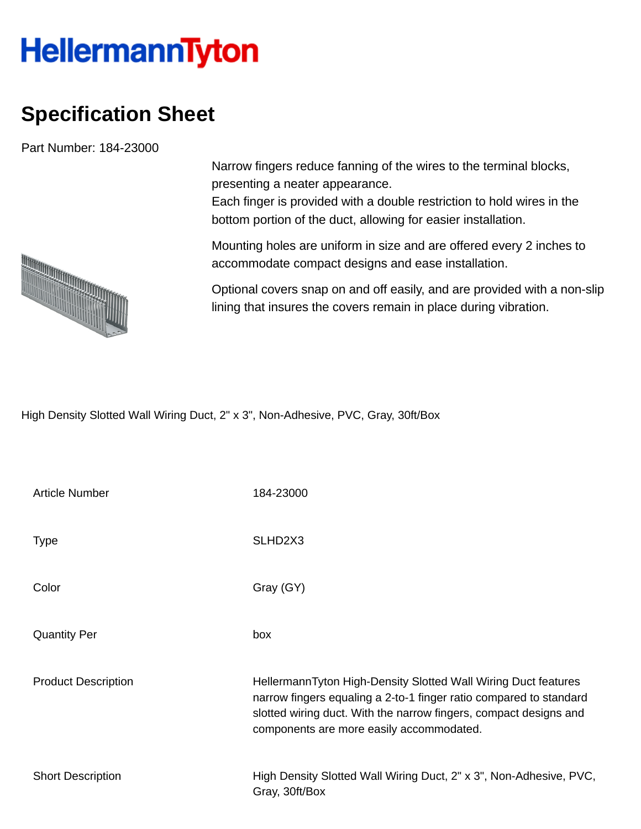## **HellermannTyton**

## **Specification Sheet**

Part Number: 184-23000

Narrow fingers reduce fanning of the wires to the terminal blocks, presenting a neater appearance.

Each finger is provided with a double restriction to hold wires in the bottom portion of the duct, allowing for easier installation.

Mounting holes are uniform in size and are offered every 2 inches to accommodate compact designs and ease installation.

Optional covers snap on and off easily, and are provided with a non-slip lining that insures the covers remain in place during vibration.

High Density Slotted Wall Wiring Duct, 2" x 3", Non-Adhesive, PVC, Gray, 30ft/Box

| <b>Article Number</b>      | 184-23000                                                                                                                                                                                                                                             |
|----------------------------|-------------------------------------------------------------------------------------------------------------------------------------------------------------------------------------------------------------------------------------------------------|
| <b>Type</b>                | SLHD2X3                                                                                                                                                                                                                                               |
| Color                      | Gray (GY)                                                                                                                                                                                                                                             |
| <b>Quantity Per</b>        | box                                                                                                                                                                                                                                                   |
| <b>Product Description</b> | HellermannTyton High-Density Slotted Wall Wiring Duct features<br>narrow fingers equaling a 2-to-1 finger ratio compared to standard<br>slotted wiring duct. With the narrow fingers, compact designs and<br>components are more easily accommodated. |
| <b>Short Description</b>   | High Density Slotted Wall Wiring Duct, 2" x 3", Non-Adhesive, PVC,<br>Gray, 30ft/Box                                                                                                                                                                  |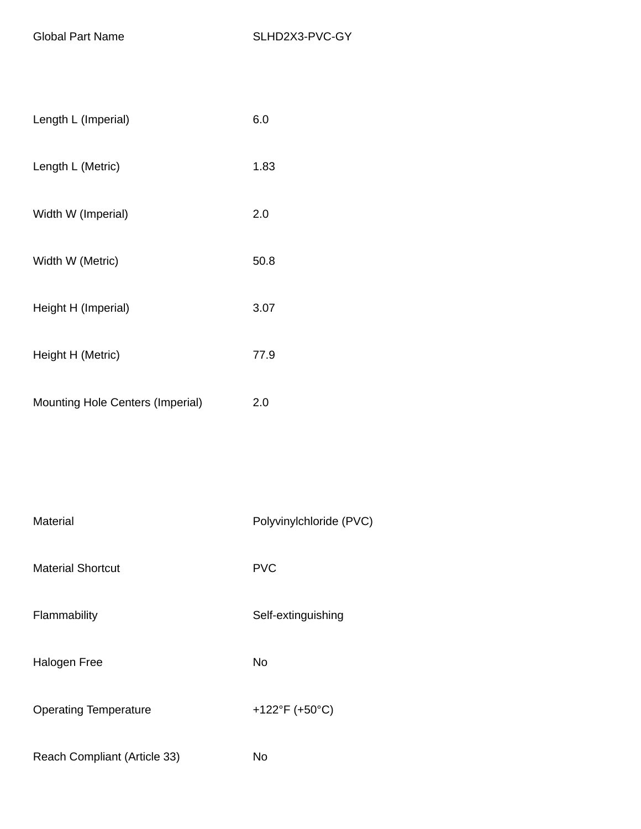| Length L (Imperial) | 6.0  |
|---------------------|------|
| Length L (Metric)   | 1.83 |
| Width W (Imperial)  | 2.0  |
| Width W (Metric)    | 50.8 |
| Height H (Imperial) | 3.07 |
| Height H (Metric)   | 77.9 |
|                     |      |

| <b>Mounting Hole Centers (Imperial)</b> | 2.0 |
|-----------------------------------------|-----|
|                                         |     |

| Material                     | Polyvinylchloride (PVC) |
|------------------------------|-------------------------|
| <b>Material Shortcut</b>     | <b>PVC</b>              |
| Flammability                 | Self-extinguishing      |
| <b>Halogen Free</b>          | No                      |
| <b>Operating Temperature</b> | +122°F (+50°C)          |
| Reach Compliant (Article 33) | No                      |